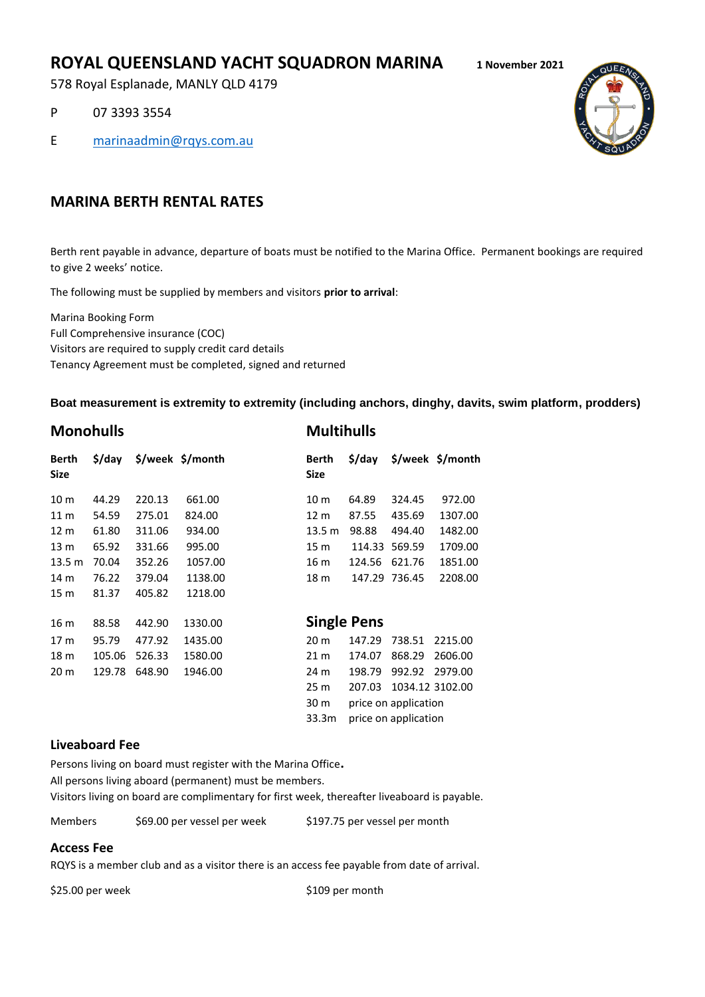# **ROYAL QUEENSLAND YACHT SQUADRON MARINA 1 November 2021**

578 Royal Esplanade, MANLY QLD 4179

P 07 3393 3554

E [marinaadmin@rqys.com.au](mailto:marinaadmin@rqys.com.au)



## **MARINA BERTH RENTAL RATES**

Berth rent payable in advance, departure of boats must be notified to the Marina Office. Permanent bookings are required to give 2 weeks' notice.

The following must be supplied by members and visitors **prior to arrival**:

Marina Booking Form Full Comprehensive insurance (COC) Visitors are required to supply credit card details Tenancy Agreement must be completed, signed and returned

#### **Boat measurement is extremity to extremity (including anchors, dinghy, davits, swim platform, prodders)**

| <b>Monohulls</b> |          |        |                  |  | <b>Multihulls</b>    |                    |                      |                                          |
|------------------|----------|--------|------------------|--|----------------------|--------------------|----------------------|------------------------------------------|
| Berth<br>Size    | $$$ /day |        | \$/week \$/month |  | Berth<br><b>Size</b> | \$/day             |                      | $\frac{1}{2}$ /week $\frac{2}{3}$ /month |
| 10 <sub>m</sub>  | 44.29    | 220.13 | 661.00           |  | 10 <sub>m</sub>      | 64.89              | 324.45               | 972.00                                   |
| 11 <sub>m</sub>  | 54.59    | 275.01 | 824.00           |  | 12 m                 | 87.55              | 435.69               | 1307.00                                  |
| 12 <sub>m</sub>  | 61.80    | 311.06 | 934.00           |  | 13.5 <sub>m</sub>    | 98.88              | 494.40               | 1482.00                                  |
| 13 <sub>m</sub>  | 65.92    | 331.66 | 995.00           |  | 15 m                 | 114.33             | 569.59               | 1709.00                                  |
| 13.5 m           | 70.04    | 352.26 | 1057.00          |  | 16 m                 | 124.56             | 621.76               | 1851.00                                  |
| 14 m             | 76.22    | 379.04 | 1138.00          |  | 18 m                 | 147.29             | 736.45               | 2208.00                                  |
| 15 m             | 81.37    | 405.82 | 1218.00          |  |                      |                    |                      |                                          |
| 16 m             | 88.58    | 442.90 | 1330.00          |  |                      | <b>Single Pens</b> |                      |                                          |
| 17 <sub>m</sub>  | 95.79    | 477.92 | 1435.00          |  | 20 <sub>m</sub>      | 147.29             | 738.51               | 2215.00                                  |
| 18 m             | 105.06   | 526.33 | 1580.00          |  | 21 m                 | 174.07             | 868.29               | 2606.00                                  |
| 20 m             | 129.78   | 648.90 | 1946.00          |  | 24 m                 | 198.79             | 992.92               | 2979.00                                  |
|                  |          |        |                  |  | 25 m                 | 207.03             |                      | 1034.12 3102.00                          |
|                  |          |        |                  |  | 30 m                 |                    | price on application |                                          |
|                  |          |        |                  |  | 33.3m                |                    | price on application |                                          |

### **Liveaboard Fee**

Persons living on board must register with the Marina Office**.** 

All persons living aboard (permanent) must be members.

Visitors living on board are complimentary for first week, thereafter liveaboard is payable.

Members \$69.00 per vessel per week \$197.75 per vessel per month

#### **Access Fee**

RQYS is a member club and as a visitor there is an access fee payable from date of arrival.

\$25.00 per week \$109 per month